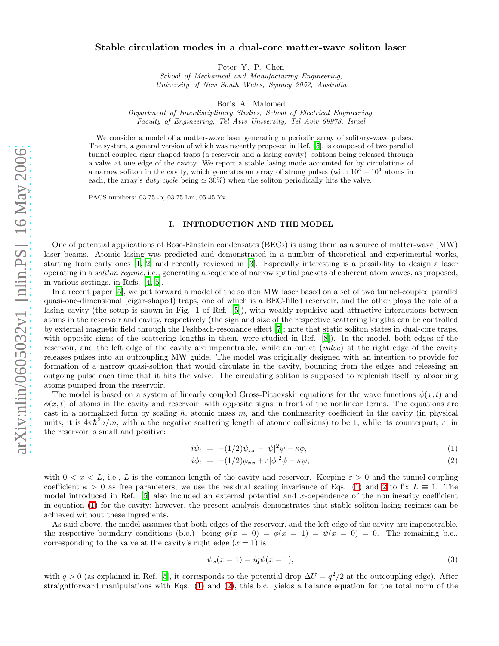## Stable circulation modes in a dual-core matter-wave soliton laser

Peter Y. P. Chen

School of Mechanical and Manufacturing Engineering, University of New South Wales, Sydney 2052, Australia

Boris A. Malomed

Department of Interdisciplinary Studies, School of Electrical Engineering, Faculty of Engineering, Tel Aviv University, Tel Aviv 69978, Israel

We consider a model of a matter-wave laser generating a periodic array of solitary-wave pulses. The system, a general version of which was recently proposed in Ref. [\[5](#page-9-0)], is composed of two parallel tunnel-coupled cigar-shaped traps (a reservoir and a lasing cavity), solitons being released through a valve at one edge of the cavity. We report a stable lasing mode accounted for by circulations of a narrow soliton in the cavity, which generates an array of strong pulses (with  $10^3 - 10^4$  atoms in each, the array's duty cycle being  $\simeq 30\%$ ) when the soliton periodically hits the valve.

PACS numbers: 03.75.-b; 03.75.Lm; 05.45.Yv

# I. INTRODUCTION AND THE MODEL

One of potential applications of Bose-Einstein condensates (BECs) is using them as a source of matter-wave (MW) laser beams. Atomic lasing was predicted and demonstrated in a number of theoretical and experimental works, starting from early ones [\[1](#page-9-1), [2](#page-9-2)] and recently reviewed in [\[3](#page-9-3)]. Especially interesting is a possibility to design a laser operating in a soliton regime, i.e., generating a sequence of narrow spatial packets of coherent atom waves, as proposed, in various settings, in Refs. [\[4,](#page-9-4) [5\]](#page-9-0).

In a recent paper [\[5\]](#page-9-0), we put forward a model of the soliton MW laser based on a set of two tunnel-coupled parallel quasi-one-dimensional (cigar-shaped) traps, one of which is a BEC-filled reservoir, and the other plays the role of a lasing cavity (the setup is shown in Fig. 1 of Ref. [\[5\]](#page-9-0)), with weakly repulsive and attractive interactions between atoms in the reservoir and cavity, respectively (the sign and size of the respective scattering lengths can be controlled by external magnetic field through the Feshbach-resonance effect [\[7\]](#page-9-5); note that static soliton states in dual-core traps, with opposite signs of the scattering lengths in them, were studied in Ref. [\[8\]](#page-9-6)). In the model, both edges of the reservoir, and the left edge of the cavity are impenetrable, while an outlet (valve) at the right edge of the cavity releases pulses into an outcoupling MW guide. The model was originally designed with an intention to provide for formation of a narrow quasi-soliton that would circulate in the cavity, bouncing from the edges and releasing an outgoing pulse each time that it hits the valve. The circulating soliton is supposed to replenish itself by absorbing atoms pumped from the reservoir.

The model is based on a system of linearly coupled Gross-Pitaevskii equations for the wave functions  $\psi(x, t)$  and  $\phi(x, t)$  of atoms in the cavity and reservoir, with opposite signs in front of the nonlinear terms. The equations are cast in a normalized form by scaling  $\hbar$ , atomic mass m, and the nonlinearity coefficient in the cavity (in physical units, it is  $4\pi\hbar^2 a/m$ , with a the negative scattering length of atomic collisions) to be 1, while its counterpart,  $\varepsilon$ , in the reservoir is small and positive:

<span id="page-0-0"></span>
$$
i\psi_t = -(1/2)\psi_{xx} - |\psi|^2 \psi - \kappa \phi, \tag{1}
$$

$$
i\phi_t = -(1/2)\phi_{xx} + \varepsilon |\phi|^2 \phi - \kappa \psi,\tag{2}
$$

with  $0 < x < L$ , i.e., L is the common length of the cavity and reservoir. Keeping  $\varepsilon > 0$  and the tunnel-coupling coefficient  $\kappa > 0$  as free parameters, we use the residual scaling invariance of Eqs. [\(1\)](#page-0-0) and [2](#page-0-0) to fix  $L \equiv 1$ . The model introduced in Ref.  $[5]$  also included an external potential and x-dependence of the nonlinearity coefficient in equation [\(1\)](#page-0-0) for the cavity; however, the present analysis demonstrates that stable soliton-lasing regimes can be achieved without these ingredients.

As said above, the model assumes that both edges of the reservoir, and the left edge of the cavity are impenetrable, the respective boundary conditions (b.c.) being  $\phi(x = 0) = \phi(x = 1) = \psi(x = 0) = 0$ . The remaining b.c., corresponding to the valve at the cavity's right edge  $(x = 1)$  is

<span id="page-0-1"></span>
$$
\psi_x(x=1) = iq\psi(x=1),\tag{3}
$$

with  $q > 0$  (as explained in Ref. [\[5](#page-9-0)], it corresponds to the potential drop  $\Delta U = q^2/2$  at the outcoupling edge). After straightforward manipulations with Eqs. [\(1\)](#page-0-0) and [\(2\)](#page-0-0), this b.c. yields a balance equation for the total norm of the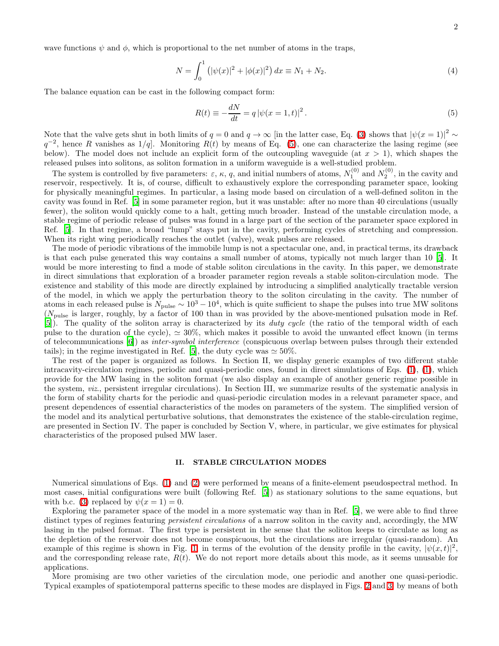wave functions  $\psi$  and  $\phi$ , which is proportional to the net number of atoms in the traps,

<span id="page-1-1"></span><span id="page-1-0"></span>
$$
N = \int_0^1 (|\psi(x)|^2 + |\phi(x)|^2) dx \equiv N_1 + N_2.
$$
 (4)

The balance equation can be cast in the following compact form:

$$
R(t) \equiv -\frac{dN}{dt} = q |\psi(x = 1, t)|^{2}.
$$
 (5)

Note that the valve gets shut in both limits of  $q = 0$  and  $q \to \infty$  [in the latter case, Eq. [\(3\)](#page-0-1) shows that  $|\psi(x = 1)|^2 \sim$  $q^{-2}$ , hence R vanishes as 1/q. Monitoring  $R(t)$  by means of Eq. [\(5\)](#page-1-0), one can characterize the lasing regime (see below). The model does not include an explicit form of the outcoupling waveguide (at  $x > 1$ ), which shapes the released pulses into solitons, as soliton formation in a uniform waveguide is a well-studied problem.

The system is controlled by five parameters:  $\varepsilon$ ,  $\kappa$ , q, and initial numbers of atoms,  $N_1^{(0)}$  and  $N_2^{(0)}$ , in the cavity and reservoir, respectively. It is, of course, difficult to exhaustively explore the corresponding parameter space, looking for physically meaningful regimes. In particular, a lasing mode based on circulation of a well-defined soliton in the cavity was found in Ref. [\[5](#page-9-0)] in some parameter region, but it was unstable: after no more than 40 circulations (usually fewer), the soliton would quickly come to a halt, getting much broader. Instead of the unstable circulation mode, a stable regime of periodic release of pulses was found in a large part of the section of the parameter space explored in Ref. [\[5](#page-9-0)]. In that regime, a broad "lump" stays put in the cavity, performing cycles of stretching and compression. When its right wing periodically reaches the outlet (valve), weak pulses are released.

The mode of periodic vibrations of the immobile lump is not a spectacular one, and, in practical terms, its drawback is that each pulse generated this way contains a small number of atoms, typically not much larger than 10 [\[5\]](#page-9-0). It would be more interesting to find a mode of stable soliton circulations in the cavity. In this paper, we demonstrate in direct simulations that exploration of a broader parameter region reveals a stable soliton-circulation mode. The existence and stability of this mode are directly explained by introducing a simplified analytically tractable version of the model, in which we apply the perturbation theory to the soliton circulating in the cavity. The number of atoms in each released pulse is  $N_{\text{pulse}} \sim 10^3 - 10^4$ , which is quite sufficient to shape the pulses into true MW solitons  $(N_{\text{pulse}})$  is larger, roughly, by a factor of 100 than in was provided by the above-mentioned pulsation mode in Ref. [\[5\]](#page-9-0)). The quality of the soliton array is characterized by its duty cycle (the ratio of the temporal width of each pulse to the duration of the cycle),  $\simeq 30\%$ , which makes it possible to avoid the unwanted effect known (in terms of telecommunications [\[6\]](#page-9-7)) as inter-symbol interference (conspicuous overlap between pulses through their extended tails); in the regime investigated in Ref. [\[5\]](#page-9-0), the duty cycle was  $\simeq 50\%$ .

The rest of the paper is organized as follows. In Section II, we display generic examples of two different stable intracavity-circulation regimes, periodic and quasi-periodic ones, found in direct simulations of Eqs. [\(1\)](#page-0-0), [\(1\)](#page-0-0), which provide for the MW lasing in the soliton format (we also display an example of another generic regime possible in the system, viz., persistent irregular circulations). In Section III, we summarize results of the systematic analysis in the form of stability charts for the periodic and quasi-periodic circulation modes in a relevant parameter space, and present dependences of essential characteristics of the modes on parameters of the system. The simplified version of the model and its analytical perturbative solutions, that demonstrates the existence of the stable-circulation regime, are presented in Section IV. The paper is concluded by Section V, where, in particular, we give estimates for physical characteristics of the proposed pulsed MW laser.

## II. STABLE CIRCULATION MODES

Numerical simulations of Eqs. [\(1\)](#page-0-0) and [\(2\)](#page-0-0) were performed by means of a finite-element pseudospectral method. In most cases, initial configurations were built (following Ref. [\[5\]](#page-9-0)) as stationary solutions to the same equations, but with b.c. [\(3\)](#page-0-1) replaced by  $\psi(x=1)=0$ .

Exploring the parameter space of the model in a more systematic way than in Ref. [\[5\]](#page-9-0), we were able to find three distinct types of regimes featuring *persistent circulations* of a narrow soliton in the cavity and, accordingly, the MW lasing in the pulsed format. The first type is persistent in the sense that the soliton keeps to circulate as long as the depletion of the reservoir does not become conspicuous, but the circulations are irregular (quasi-random). An example of this regime is shown in Fig. [1,](#page-2-0) in terms of the evolution of the density profile in the cavity,  $|\psi(x,t)|^2$ , and the corresponding release rate,  $R(t)$ . We do not report more details about this mode, as it seems unusable for applications.

More promising are two other varieties of the circulation mode, one periodic and another one quasi-periodic. Typical examples of spatiotemporal patterns specific to these modes are displayed in Figs. [2](#page-2-1) and [3,](#page-3-0) by means of both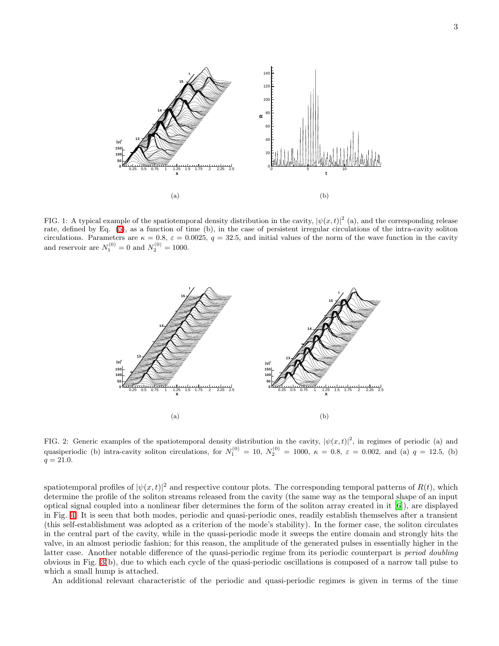

<span id="page-2-0"></span>FIG. 1: A typical example of the spatiotemporal density distribution in the cavity,  $|\psi(x,t)|^2$  (a), and the corresponding release rate, defined by Eq. [\(5\)](#page-1-0), as a function of time (b), in the case of persistent irregular circulations of the intra-cavity soliton circulations. Parameters are  $\kappa = 0.8$ ,  $\varepsilon = 0.0025$ ,  $q = 32.5$ , and initial values of the norm of the wave function in the cavity and reservoir are  $N_1^{(0)} = 0$  and  $N_2^{(0)} = 1000$ .



<span id="page-2-1"></span>FIG. 2: Generic examples of the spatiotemporal density distribution in the cavity,  $|\psi(x,t)|^2$ , in regimes of periodic (a) and quasiperiodic (b) intra-cavity soliton circulations, for  $N_1^{(0)} = 10$ ,  $N_2^{(0)} = 1000$ ,  $\kappa = 0.8$ ,  $\varepsilon = 0.002$ , and (a)  $q = 12.5$ , (b)  $q = 21.0.$ 

spatiotemporal profiles of  $|\psi(x,t)|^2$  and respective contour plots. The corresponding temporal patterns of  $R(t)$ , which determine the profile of the soliton streams released from the cavity (the same way as the temporal shape of an input optical signal coupled into a nonlinear fiber determines the form of the soliton array created in it [\[6](#page-9-7)]), are displayed in Fig. [4.](#page-3-1) It is seen that both modes, periodic and quasi-periodic ones, readily establish themselves after a transient (this self-establishment was adopted as a criterion of the mode's stability). In the former case, the soliton circulates in the central part of the cavity, while in the quasi-periodic mode it sweeps the entire domain and strongly hits the valve, in an almost periodic fashion; for this reason, the amplitude of the generated pulses in essentially higher in the latter case. Another notable difference of the quasi-periodic regime from its periodic counterpart is period doubling obvious in Fig. [3\(](#page-3-0)b), due to which each cycle of the quasi-periodic oscillations is composed of a narrow tall pulse to which a small hump is attached.

An additional relevant characteristic of the periodic and quasi-periodic regimes is given in terms of the time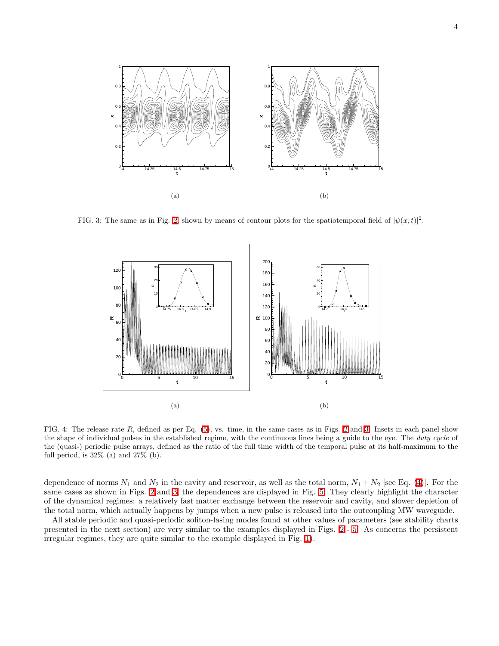

<span id="page-3-0"></span>FIG. 3: The same as in Fig. [2,](#page-2-1) shown by means of contour plots for the spatiotemporal field of  $|\psi(x,t)|^2$ .



<span id="page-3-1"></span>FIG. 4: The release rate  $R$ , defined as per Eq.  $(5)$ , vs. time, in the same cases as in Figs. [2](#page-2-1) and [3.](#page-3-0) Insets in each panel show the shape of individual pulses in the established regime, with the continuous lines being a guide to the eye. The *duty cycle* of the (quasi-) periodic pulse arrays, defined as the ratio of the full time width of the temporal pulse at its half-maximum to the full period, is  $32\%$  (a) and  $27\%$  (b).

dependence of norms  $N_1$  and  $N_2$  in the cavity and reservoir, as well as the total norm,  $N_1 + N_2$  [see Eq. [\(4\)](#page-1-1)]. For the same cases as shown in Figs. [2](#page-2-1) and [3,](#page-3-0) the dependences are displayed in Fig. [5.](#page-4-0) They clearly highlight the character of the dynamical regimes: a relatively fast matter exchange between the reservoir and cavity, and slower depletion of the total norm, which actually happens by jumps when a new pulse is released into the outcoupling MW waveguide.

All stable periodic and quasi-periodic soliton-lasing modes found at other values of parameters (see stability charts presented in the next section) are very similar to the examples displayed in Figs. [2](#page-2-1) - [5.](#page-4-0) As concerns the persistent irregular regimes, they are quite similar to the example displayed in Fig. [1\)](#page-2-0).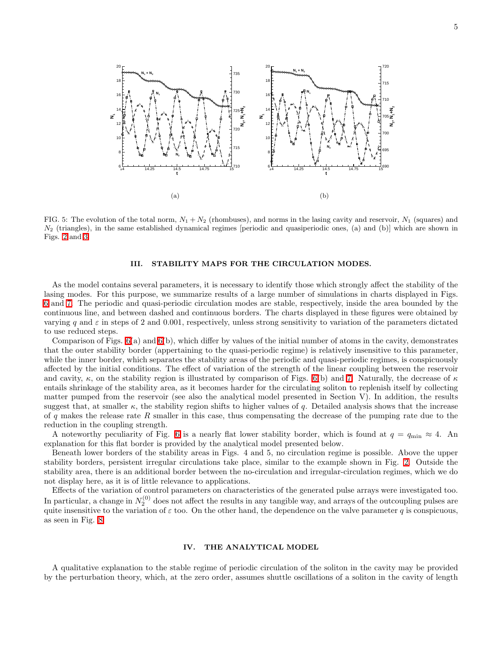

<span id="page-4-0"></span>FIG. 5: The evolution of the total norm,  $N_1 + N_2$  (rhombuses), and norms in the lasing cavity and reservoir,  $N_1$  (squares) and  $N_2$  (triangles), in the same established dynamical regimes [periodic and quasiperiodic ones, (a) and (b)] which are shown in Figs. [2](#page-2-1) and [3.](#page-3-0)

### III. STABILITY MAPS FOR THE CIRCULATION MODES.

As the model contains several parameters, it is necessary to identify those which strongly affect the stability of the lasing modes. For this purpose, we summarize results of a large number of simulations in charts displayed in Figs. [6](#page-5-0) and [7.](#page-5-1) The periodic and quasi-periodic circulation modes are stable, respectively, inside the area bounded by the continuous line, and between dashed and continuous borders. The charts displayed in these figures were obtained by varying q and  $\varepsilon$  in steps of 2 and 0.001, respectively, unless strong sensitivity to variation of the parameters dictated to use reduced steps.

Comparison of Figs. [6\(](#page-5-0)a) and [6\(](#page-5-0)b), which differ by values of the initial number of atoms in the cavity, demonstrates that the outer stability border (appertaining to the quasi-periodic regime) is relatively insensitive to this parameter, while the inner border, which separates the stability areas of the periodic and quasi-periodic regimes, is conspicuously affected by the initial conditions. The effect of variation of the strength of the linear coupling between the reservoir and cavity,  $\kappa$ , on the stability region is illustrated by comparison of Figs. [6\(](#page-5-0)b) and [7.](#page-5-1) Naturally, the decrease of  $\kappa$ entails shrinkage of the stability area, as it becomes harder for the circulating soliton to replenish itself by collecting matter pumped from the reservoir (see also the analytical model presented in Section V). In addition, the results suggest that, at smaller  $\kappa$ , the stability region shifts to higher values of q. Detailed analysis shows that the increase of q makes the release rate R smaller in this case, thus compensating the decrease of the pumping rate due to the reduction in the coupling strength.

A noteworthy peculiarity of Fig. [6](#page-5-0) is a nearly flat lower stability border, which is found at  $q = q_{\min} \approx 4$ . An explanation for this flat border is provided by the analytical model presented below.

Beneath lower borders of the stability areas in Figs. 4 and 5, no circulation regime is possible. Above the upper stability borders, persistent irregular circulations take place, similar to the example shown in Fig. [2.](#page-2-1) Outside the stability area, there is an additional border between the no-circulation and irregular-circulation regimes, which we do not display here, as it is of little relevance to applications.

Effects of the variation of control parameters on characteristics of the generated pulse arrays were investigated too. In particular, a change in  $N_2^{(0)}$  does not affect the results in any tangible way, and arrays of the outcoupling pulses are quite insensitive to the variation of  $\varepsilon$  too. On the other hand, the dependence on the valve parameter q is conspicuous, as seen in Fig. [8.](#page-6-0)

### IV. THE ANALYTICAL MODEL

A qualitative explanation to the stable regime of periodic circulation of the soliton in the cavity may be provided by the perturbation theory, which, at the zero order, assumes shuttle oscillations of a soliton in the cavity of length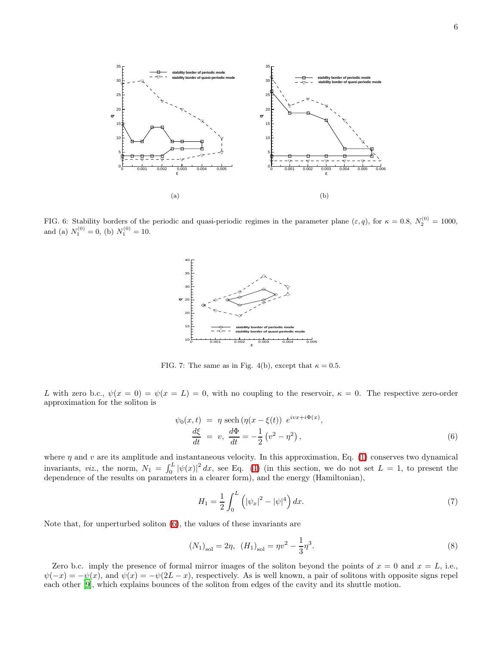

<span id="page-5-0"></span>FIG. 6: Stability borders of the periodic and quasi-periodic regimes in the parameter plane  $(\varepsilon, q)$ , for  $\kappa = 0.8$ ,  $N_2^{(0)} = 1000$ , and (a)  $N_1^{(0)} = 0$ , (b)  $N_1^{(0)} = 10$ .



<span id="page-5-1"></span>FIG. 7: The same as in Fig. 4(b), except that  $\kappa = 0.5$ .

L with zero b.c.,  $\psi(x=0) = \psi(x=L) = 0$ , with no coupling to the reservoir,  $\kappa = 0$ . The respective zero-order approximation for the soliton is

<span id="page-5-2"></span>
$$
\psi_0(x,t) = \eta \operatorname{sech}(\eta(x-\xi(t)) e^{i\upsilon x + i\Phi(x)},
$$
  
\n
$$
\frac{d\xi}{dt} = v, \frac{d\Phi}{dt} = -\frac{1}{2} (v^2 - \eta^2),
$$
\n(6)

where  $\eta$  and v are its amplitude and instantaneous velocity. In this approximation, Eq. [\(1\)](#page-0-0) conserves two dynamical invariants, *viz.*, the norm,  $N_1 = \int_0^L |\psi(x)|^2 dx$ , see Eq. [\(4\)](#page-1-1) (in this section, we do not set  $L = 1$ , to present the dependence of the results on parameters in a clearer form), and the energy (Hamiltonian),

<span id="page-5-3"></span>
$$
H_1 = \frac{1}{2} \int_0^L \left( |\psi_x|^2 - |\psi|^4 \right) dx. \tag{7}
$$

Note that, for unperturbed soliton [\(6\)](#page-5-2), the values of these invariants are

$$
(N_1)_{\text{sol}} = 2\eta, \ \ (H_1)_{\text{sol}} = \eta v^2 - \frac{1}{3}\eta^3. \tag{8}
$$

Zero b.c. imply the presence of formal mirror images of the soliton beyond the points of  $x = 0$  and  $x = L$ , i.e.,  $\psi(-x) = -\psi(x)$ , and  $\psi(x) = -\psi(2L - x)$ , respectively. As is well known, a pair of solitons with opposite signs repel each other [\[9](#page-9-8)], which explains bounces of the soliton from edges of the cavity and its shuttle motion.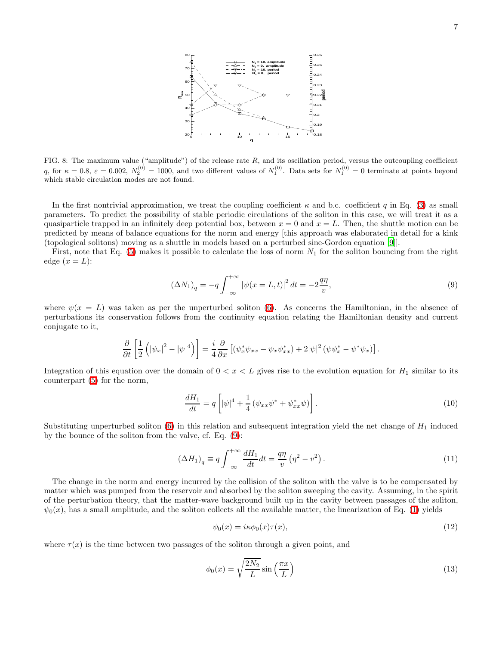

<span id="page-6-0"></span>FIG. 8: The maximum value ("amplitude") of the release rate  $R$ , and its oscillation period, versus the outcoupling coefficient q, for  $\kappa = 0.8$ ,  $\varepsilon = 0.002$ ,  $N_2^{(0)} = 1000$ , and two different values of  $N_1^{(0)}$ . Data sets for  $N_1^{(0)} = 0$  terminate at points beyond which stable circulation modes are not found.

In the first nontrivial approximation, we treat the coupling coefficient  $\kappa$  and b.c. coefficient q in Eq. [\(3\)](#page-0-1) as small parameters. To predict the possibility of stable periodic circulations of the soliton in this case, we will treat it as a quasiparticle trapped in an infinitely deep potential box, between  $x = 0$  and  $x = L$ . Then, the shuttle motion can be predicted by means of balance equations for the norm and energy [this approach was elaborated in detail for a kink (topological solitons) moving as a shuttle in models based on a perturbed sine-Gordon equation [\[9\]](#page-9-8)].

First, note that Eq.  $(5)$  makes it possible to calculate the loss of norm  $N_1$  for the soliton bouncing from the right edge  $(x=L)$ :

<span id="page-6-1"></span>
$$
(\Delta N_1)_q = -q \int_{-\infty}^{+\infty} |\psi(x = L, t)|^2 dt = -2\frac{q\eta}{v},\tag{9}
$$

where  $\psi(x=L)$  was taken as per the unperturbed soliton [\(6\)](#page-5-2). As concerns the Hamiltonian, in the absence of perturbations its conservation follows from the continuity equation relating the Hamiltonian density and current conjugate to it,

$$
\frac{\partial}{\partial t}\left[\frac{1}{2}\left(|\psi_x|^2-|\psi|^4\right)\right]=\frac{i}{4}\frac{\partial}{\partial x}\left[(\psi_x^*\psi_{xx}-\psi_x\psi_{xx}^*)+2|\psi|^2\left(\psi\psi_x^*-\psi^*\psi_x\right)\right].
$$

Integration of this equation over the domain of  $0 < x < L$  gives rise to the evolution equation for  $H_1$  similar to its counterpart [\(5\)](#page-1-0) for the norm,

$$
\frac{dH_1}{dt} = q \left[ |\psi|^4 + \frac{1}{4} \left( \psi_{xx} \psi^* + \psi_{xx}^* \psi \right) \right]. \tag{10}
$$

Substituting unperturbed soliton  $(6)$  in this relation and subsequent integration yield the net change of  $H_1$  induced by the bounce of the soliton from the valve, cf. Eq. [\(9\)](#page-6-1):

<span id="page-6-2"></span>
$$
\left(\Delta H_1\right)_q \equiv q \int_{-\infty}^{+\infty} \frac{dH_1}{dt} dt = \frac{q\eta}{v} \left(\eta^2 - v^2\right). \tag{11}
$$

The change in the norm and energy incurred by the collision of the soliton with the valve is to be compensated by matter which was pumped from the reservoir and absorbed by the soliton sweeping the cavity. Assuming, in the spirit of the perturbation theory, that the matter-wave background built up in the cavity between passages of the soliton,  $\psi_0(x)$ , has a small amplitude, and the soliton collects all the available matter, the linearization of Eq. [\(1\)](#page-0-0) yields

$$
\psi_0(x) = i\kappa \phi_0(x)\tau(x),\tag{12}
$$

where  $\tau(x)$  is the time between two passages of the soliton through a given point, and

<span id="page-6-3"></span>
$$
\phi_0(x) = \sqrt{\frac{2N_2}{L}} \sin\left(\frac{\pi x}{L}\right) \tag{13}
$$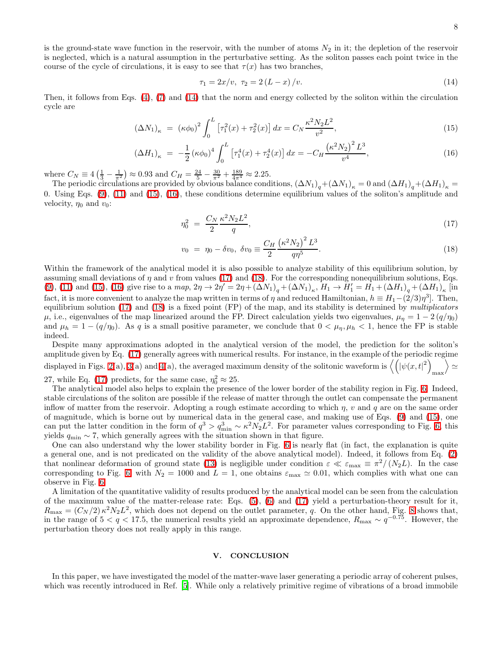is the ground-state wave function in the reservoir, with the number of atoms  $N_2$  in it; the depletion of the reservoir is neglected, which is a natural assumption in the perturbative setting. As the soliton passes each point twice in the course of the cycle of circulations, it is easy to see that  $\tau(x)$  has two branches,

$$
\tau_1 = 2x/v, \ \tau_2 = 2(L - x)/v. \tag{14}
$$

<span id="page-7-1"></span>Then, it follows from Eqs.  $(4)$ ,  $(7)$  and  $(14)$  that the norm and energy collected by the soliton within the circulation cycle are

<span id="page-7-0"></span>
$$
(\Delta N_1)_{\kappa} = (\kappa \phi_0)^2 \int_0^L \left[ \tau_1^2(x) + \tau_2^2(x) \right] dx = C_N \frac{\kappa^2 N_2 L^2}{v^2},\tag{15}
$$

$$
(\Delta H_1)_{\kappa} = -\frac{1}{2} (\kappa \phi_0)^4 \int_0^L \left[ \tau_1^4(x) + \tau_2^4(x) \right] dx = -C_H \frac{(\kappa^2 N_2)^2 L^3}{v^4},\tag{16}
$$

where  $C_N \equiv 4\left(\frac{1}{3} - \frac{1}{\pi^2}\right) \approx 0.93$  and  $C_H = \frac{24}{5} - \frac{30}{\pi^2} + \frac{189}{4\pi^4} \approx 2.25$ .

The periodic circulations are provided by obvious balance conditions,  $(\Delta N_1)_q + (\Delta N_1)_\kappa = 0$  and  $(\Delta H_1)_q + (\Delta H_1)_\kappa = 0$ 0. Using Eqs. [\(9\)](#page-6-1), [\(11\)](#page-6-2) and [\(15\)](#page-7-1), [\(16\)](#page-7-1), these conditions determine equilibrium values of the soliton's amplitude and velocity,  $\eta_0$  and  $v_0$ :

<span id="page-7-2"></span>
$$
\eta_0^2 = \frac{C_N}{2} \frac{\kappa^2 N_2 L^2}{q},\tag{17}
$$

$$
v_0 = \eta_0 - \delta v_0, \ \delta v_0 \equiv \frac{C_H}{2} \frac{\left(\kappa^2 N_2\right)^2 L^3}{q \eta^5}.
$$
\n(18)

Within the framework of the analytical model it is also possible to analyze stability of this equilibrium solution, by assuming small deviations of  $\eta$  and  $v$  from values [\(17\)](#page-7-2) and [\(18\)](#page-7-2). For the corresponding nonequilibrium solutions, Eqs. [\(9\)](#page-6-1), [\(11\)](#page-6-2) and [\(15\)](#page-7-1), [\(16\)](#page-7-1) give rise to a map,  $2\eta \to 2\eta' = 2\eta + (\Delta N_1)_q + (\Delta N_1)_\kappa$ ,  $H_1 \to H_1' = H_1 + (\Delta H_1)_q + (\Delta H_1)_\kappa$  [in fact, it is more convenient to analyze the map written in terms of  $\eta$  and reduced Hamiltonian,  $h \equiv H_1-(2/3)\eta^3$ . Then, equilibrium solution  $(17)$  and  $(18)$  is a fixed point  $(FP)$  of the map, and its stability is determined by *multiplicators*  $\mu$ , i.e., eigenvalues of the map linearized around the FP. Direct calculation yields two eigenvalues,  $\mu_{\eta} = 1 - 2 (q/\eta_0)$ and  $\mu_h = 1 - (q/\eta_0)$ . As q is a small positive parameter, we conclude that  $0 < \mu_{\eta}, \mu_h < 1$ , hence the FP is stable indeed.

Despite many approximations adopted in the analytical version of the model, the prediction for the soliton's amplitude given by Eq. [\(17\)](#page-7-2) generally agrees with numerical results. For instance, in the example of the periodic regime displayed in Figs. [2\(](#page-2-1)a), [3\(](#page-3-0)a) and [4\(](#page-3-1)a), the averaged maximum density of the solitonic waveform is  $\left\langle \left( \left|\psi(x, t)^2\right\rangle \right)$ max  $\rangle \simeq$ 27, while Eq. [\(17\)](#page-7-2) predicts, for the same case,  $\eta_0^2 \approx 25$ .

The analytical model also helps to explain the presence of the lower border of the stability region in Fig. [6.](#page-5-0) Indeed, stable circulations of the soliton are possible if the release of matter through the outlet can compensate the permanent inflow of matter from the reservoir. Adopting a rough estimate according to which  $\eta$ ,  $v$  and  $q$  are on the same order of magnitude, which is borne out by numerical data in the general case, and making use of Eqs. [\(9\)](#page-6-1) and [\(15\)](#page-7-1), one can put the latter condition in the form of  $q^3 > q_{\min}^3 \sim \kappa^2 N_2 L^2$ . For parameter values corresponding to Fig. [6,](#page-5-0) this yields  $q_{\min}$  ~ 7, which generally agrees with the situation shown in that figure.

One can also understand why the lower stability border in Fig. [6](#page-5-0) is nearly flat (in fact, the explanation is quite a general one, and is not predicated on the validity of the above analytical model). Indeed, it follows from Eq. [\(2\)](#page-0-0) that nonlinear deformation of ground state [\(13\)](#page-6-3) is negligible under condition  $\varepsilon \ll \varepsilon_{\text{max}} \equiv \pi^2/(N_2L)$ . In the case corresponding to Fig. [6,](#page-5-0) with  $N_2 = 1000$  and  $L = 1$ , one obtains  $\varepsilon_{\text{max}} \simeq 0.01$ , which complies with what one can observe in Fig. [6.](#page-5-0)

A limitation of the quantitative validity of results produced by the analytical model can be seen from the calculation of the maximum value of the matter-release rate: Eqs. [\(5\)](#page-1-0), [\(6\)](#page-5-2) and [\(17\)](#page-7-2) yield a perturbation-theory result for it,  $R_{\text{max}} = (C_N/2) \kappa^2 N_2 L^2$ , which does not depend on the outlet parameter, q. On the other hand, Fig. [8](#page-6-0) shows that, in the range of  $5 < q < 17.5$ , the numerical results yield an approximate dependence,  $R_{\text{max}} \sim q^{-0.75}$ . However, the perturbation theory does not really apply in this range.

### V. CONCLUSION

In this paper, we have investigated the model of the matter-wave laser generating a periodic array of coherent pulses, which was recently introduced in Ref. [\[5\]](#page-9-0). While only a relatively primitive regime of vibrations of a broad immobile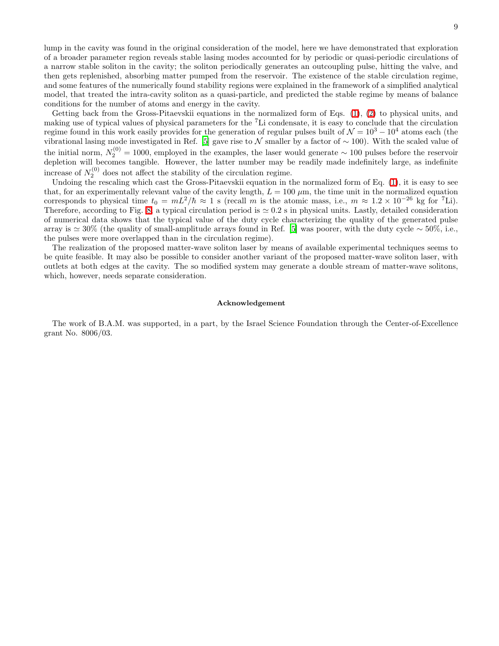lump in the cavity was found in the original consideration of the model, here we have demonstrated that exploration of a broader parameter region reveals stable lasing modes accounted for by periodic or quasi-periodic circulations of a narrow stable soliton in the cavity; the soliton periodically generates an outcoupling pulse, hitting the valve, and then gets replenished, absorbing matter pumped from the reservoir. The existence of the stable circulation regime, and some features of the numerically found stability regions were explained in the framework of a simplified analytical model, that treated the intra-cavity soliton as a quasi-particle, and predicted the stable regime by means of balance conditions for the number of atoms and energy in the cavity.

Getting back from the Gross-Pitaevskii equations in the normalized form of Eqs. [\(1\)](#page-0-0), [\(2\)](#page-0-0) to physical units, and making use of typical values of physical parameters for the  ${}^{7}$ Li condensate, it is easy to conclude that the circulation regime found in this work easily provides for the generation of regular pulses built of  $\mathcal{N} = 10^3 - 10^4$  atoms each (the vibrational lasing mode investigated in Ref. [\[5\]](#page-9-0) gave rise to N smaller by a factor of  $\sim$  100). With the scaled value of the initial norm,  $N_2^{(0)} = 1000$ , employed in the examples, the laser would generate  $\sim 100$  pulses before the reservoir depletion will becomes tangible. However, the latter number may be readily made indefinitely large, as indefinite increase of  $N_2^{(0)}$  does not affect the stability of the circulation regime.

Undoing the rescaling which cast the Gross-Pitaevskii equation in the normalized form of Eq. [\(1\)](#page-0-0), it is easy to see that, for an experimentally relevant value of the cavity length,  $L = 100 \ \mu m$ , the time unit in the normalized equation corresponds to physical time  $t_0 = mL^2/\hbar \approx 1$  s (recall m is the atomic mass, i.e.,  $m \approx 1.2 \times 10^{-26}$  kg for <sup>7</sup>Li). Therefore, according to Fig. [8,](#page-6-0) a typical circulation period is  $\simeq 0.2$  s in physical units. Lastly, detailed consideration of numerical data shows that the typical value of the duty cycle characterizing the quality of the generated pulse array is  $\simeq 30\%$  (the quality of small-amplitude arrays found in Ref. [\[5\]](#page-9-0) was poorer, with the duty cycle  $\sim 50\%$ , i.e., the pulses were more overlapped than in the circulation regime).

The realization of the proposed matter-wave soliton laser by means of available experimental techniques seems to be quite feasible. It may also be possible to consider another variant of the proposed matter-wave soliton laser, with outlets at both edges at the cavity. The so modified system may generate a double stream of matter-wave solitons, which, however, needs separate consideration.

#### Acknowledgement

The work of B.A.M. was supported, in a part, by the Israel Science Foundation through the Center-of-Excellence grant No. 8006/03.